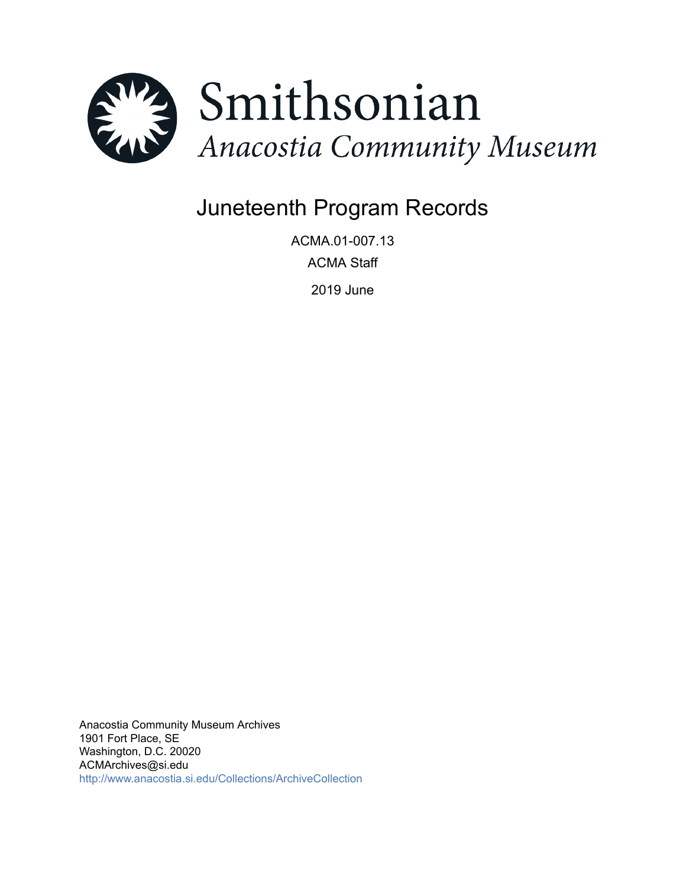

# Juneteenth Program Records

ACMA.01-007.13 ACMA Staff 2019 June

Anacostia Community Museum Archives 1901 Fort Place, SE Washington, D.C. 20020 ACMArchives@si.edu <http://www.anacostia.si.edu/Collections/ArchiveCollection>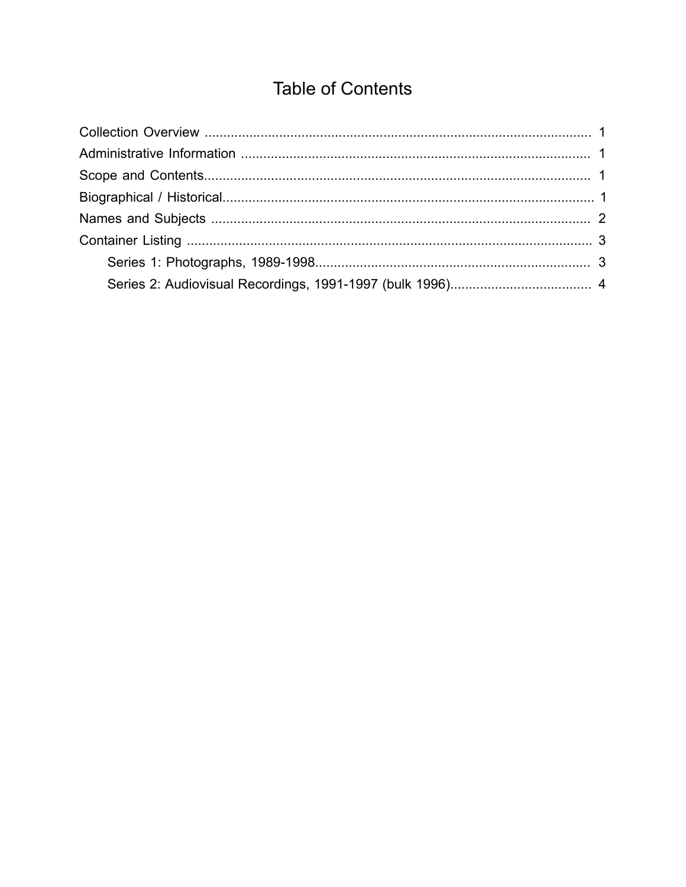## **Table of Contents**

<span id="page-1-0"></span>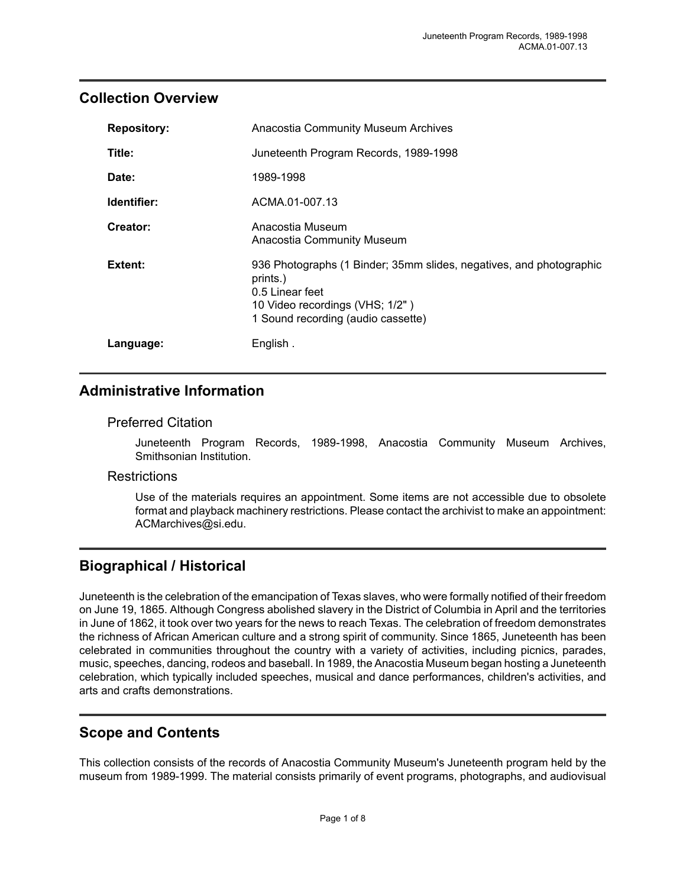#### <span id="page-2-0"></span>**Collection Overview**

| <b>Repository:</b> | <b>Anacostia Community Museum Archives</b>                                                                                                                                  |
|--------------------|-----------------------------------------------------------------------------------------------------------------------------------------------------------------------------|
| Title:             | Juneteenth Program Records, 1989-1998                                                                                                                                       |
| Date:              | 1989-1998                                                                                                                                                                   |
| Identifier:        | ACMA.01-007.13                                                                                                                                                              |
| Creator:           | Anacostia Museum<br>Anacostia Community Museum                                                                                                                              |
| Extent:            | 936 Photographs (1 Binder; 35mm slides, negatives, and photographic<br>prints.)<br>0.5 Linear feet<br>10 Video recordings (VHS; 1/2")<br>1 Sound recording (audio cassette) |
| Language:          | English.                                                                                                                                                                    |

### <span id="page-2-1"></span>**Administrative Information**

#### Preferred Citation

Juneteenth Program Records, 1989-1998, Anacostia Community Museum Archives, Smithsonian Institution.

#### **Restrictions**

Use of the materials requires an appointment. Some items are not accessible due to obsolete format and playback machinery restrictions. Please contact the archivist to make an appointment: ACMarchives@si.edu.

## <span id="page-2-3"></span>**Biographical / Historical**

Juneteenth is the celebration of the emancipation of Texas slaves, who were formally notified of their freedom on June 19, 1865. Although Congress abolished slavery in the District of Columbia in April and the territories in June of 1862, it took over two years for the news to reach Texas. The celebration of freedom demonstrates the richness of African American culture and a strong spirit of community. Since 1865, Juneteenth has been celebrated in communities throughout the country with a variety of activities, including picnics, parades, music, speeches, dancing, rodeos and baseball. In 1989, the Anacostia Museum began hosting a Juneteenth celebration, which typically included speeches, musical and dance performances, children's activities, and arts and crafts demonstrations.

## <span id="page-2-2"></span>**Scope and Contents**

This collection consists of the records of Anacostia Community Museum's Juneteenth program held by the museum from 1989-1999. The material consists primarily of event programs, photographs, and audiovisual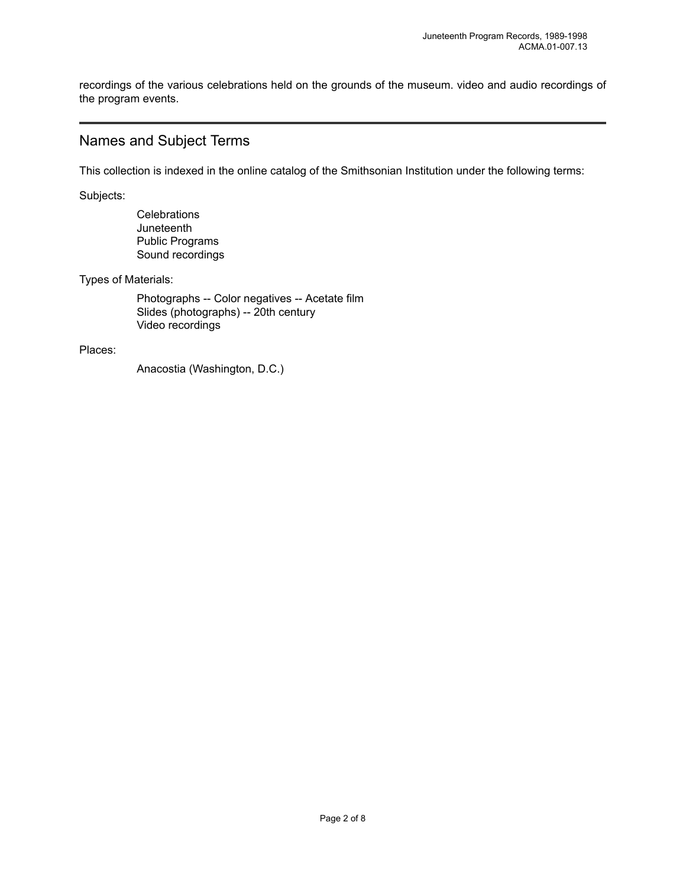recordings of the various celebrations held on the grounds of the museum. video and audio recordings of the program events.

#### <span id="page-3-0"></span>Names and Subject Terms

This collection is indexed in the online catalog of the Smithsonian Institution under the following terms:

Subjects:

**Celebrations Juneteenth** Public Programs Sound recordings

Types of Materials:

Photographs -- Color negatives -- Acetate film Slides (photographs) -- 20th century Video recordings

Places:

Anacostia (Washington, D.C.)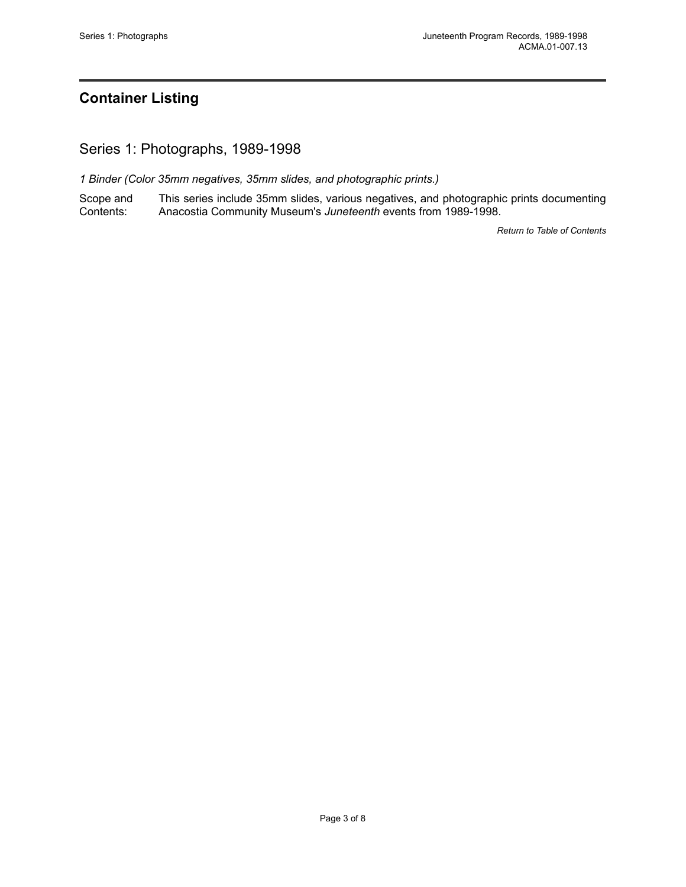## <span id="page-4-0"></span>**Container Listing**

<span id="page-4-1"></span>Series 1: Photographs, 1989-1998

*1 Binder (Color 35mm negatives, 35mm slides, and photographic prints.)*

Scope and Contents: This series include 35mm slides, various negatives, and photographic prints documenting Anacostia Community Museum's *Juneteenth* events from 1989-1998.

*Return to Table of [Contents](#page-1-0)*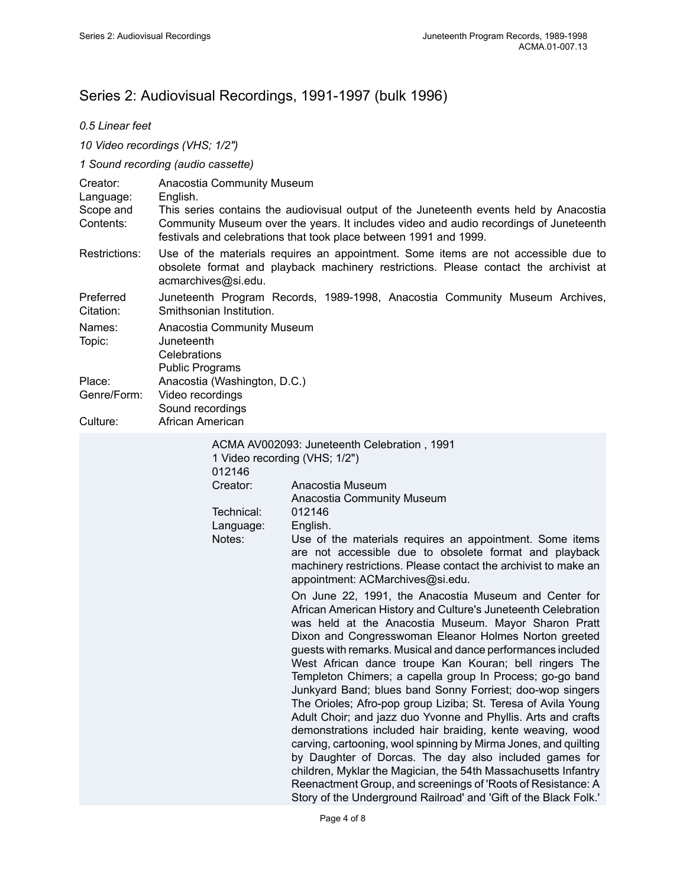## <span id="page-5-0"></span>Series 2: Audiovisual Recordings, 1991-1997 (bulk 1996)

#### *0.5 Linear feet*

*10 Video recordings (VHS; 1/2")*

#### *1 Sound recording (audio cassette)*

| Creator:<br>Language:<br>Scope and<br>Contents: | Anacostia Community Museum<br>English.<br>This series contains the audiovisual output of the Juneteenth events held by Anacostia<br>Community Museum over the years. It includes video and audio recordings of Juneteenth                                                                                                                                                                                                                                                                                                                                                                                                                                                                                                                                                                                                                                                                                                                                                                                                                                                                                                                                                                                                                                                                                                                  |
|-------------------------------------------------|--------------------------------------------------------------------------------------------------------------------------------------------------------------------------------------------------------------------------------------------------------------------------------------------------------------------------------------------------------------------------------------------------------------------------------------------------------------------------------------------------------------------------------------------------------------------------------------------------------------------------------------------------------------------------------------------------------------------------------------------------------------------------------------------------------------------------------------------------------------------------------------------------------------------------------------------------------------------------------------------------------------------------------------------------------------------------------------------------------------------------------------------------------------------------------------------------------------------------------------------------------------------------------------------------------------------------------------------|
| Restrictions:                                   | festivals and celebrations that took place between 1991 and 1999.<br>Use of the materials requires an appointment. Some items are not accessible due to<br>obsolete format and playback machinery restrictions. Please contact the archivist at<br>acmarchives@si.edu.                                                                                                                                                                                                                                                                                                                                                                                                                                                                                                                                                                                                                                                                                                                                                                                                                                                                                                                                                                                                                                                                     |
| Preferred<br>Citation:                          | Juneteenth Program Records, 1989-1998, Anacostia Community Museum Archives,<br>Smithsonian Institution.                                                                                                                                                                                                                                                                                                                                                                                                                                                                                                                                                                                                                                                                                                                                                                                                                                                                                                                                                                                                                                                                                                                                                                                                                                    |
| Names:<br>Topic:<br>Place:<br>Genre/Form:       | Anacostia Community Museum<br>Juneteenth<br>Celebrations<br><b>Public Programs</b><br>Anacostia (Washington, D.C.)<br>Video recordings                                                                                                                                                                                                                                                                                                                                                                                                                                                                                                                                                                                                                                                                                                                                                                                                                                                                                                                                                                                                                                                                                                                                                                                                     |
| Culture:                                        | Sound recordings<br>African American                                                                                                                                                                                                                                                                                                                                                                                                                                                                                                                                                                                                                                                                                                                                                                                                                                                                                                                                                                                                                                                                                                                                                                                                                                                                                                       |
|                                                 | ACMA AV002093: Juneteenth Celebration, 1991<br>1 Video recording (VHS; 1/2")<br>012146<br>Creator:<br>Anacostia Museum<br>Anacostia Community Museum<br>Technical:<br>012146<br>Language:<br>English.<br>Notes:<br>Use of the materials requires an appointment. Some items<br>are not accessible due to obsolete format and playback<br>machinery restrictions. Please contact the archivist to make an<br>appointment: ACMarchives@si.edu.<br>On June 22, 1991, the Anacostia Museum and Center for<br>African American History and Culture's Juneteenth Celebration<br>was held at the Anacostia Museum. Mayor Sharon Pratt<br>Dixon and Congresswoman Eleanor Holmes Norton greeted<br>guests with remarks. Musical and dance performances included<br>West African dance troupe Kan Kouran; bell ringers The<br>Templeton Chimers; a capella group In Process; go-go band<br>Junkyard Band; blues band Sonny Forriest; doo-wop singers<br>The Orioles; Afro-pop group Liziba; St. Teresa of Avila Young<br>Adult Choir; and jazz duo Yvonne and Phyllis. Arts and crafts<br>demonstrations included hair braiding, kente weaving, wood<br>carving, cartooning, wool spinning by Mirma Jones, and quilting<br>by Daughter of Dorcas. The day also included games for<br>children, Myklar the Magician, the 54th Massachusetts Infantry |

Reenactment Group, and screenings of 'Roots of Resistance: A Story of the Underground Railroad' and 'Gift of the Black Folk.'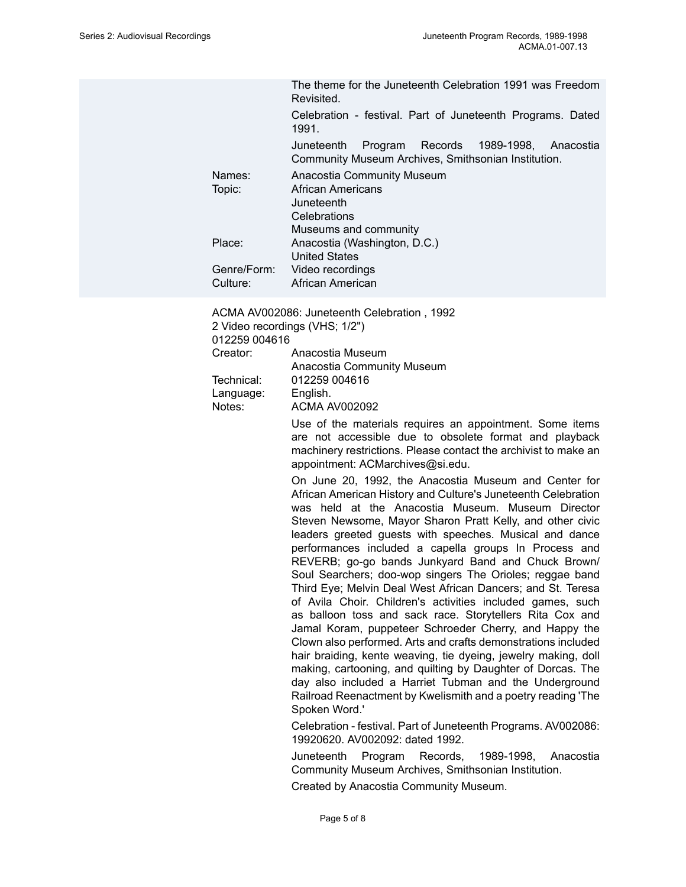The theme for the Juneteenth Celebration 1991 was Freedom Revisited.

Celebration - festival. Part of Juneteenth Programs. Dated 1991.

Juneteenth Program Records 1989-1998, Anacostia Community Museum Archives, Smithsonian Institution.

Names: Anacostia Community Museum Topic: African Americans **Juneteenth Celebrations** Museums and community Place: Anacostia (Washington, D.C.) United States Genre/Form: Video recordings Culture: African American

ACMA AV002086: Juneteenth Celebration , 1992 2 Video recordings (VHS; 1/2")

012259 004616

| Creator:   | Anacostia Museum           |
|------------|----------------------------|
|            | Anacostia Community Museum |
| Technical: | 012259 004616              |
| Language:  | English.                   |
| Notes:     | <b>ACMA AV002092</b>       |

Use of the materials requires an appointment. Some items are not accessible due to obsolete format and playback machinery restrictions. Please contact the archivist to make an appointment: ACMarchives@si.edu.

On June 20, 1992, the Anacostia Museum and Center for African American History and Culture's Juneteenth Celebration was held at the Anacostia Museum. Museum Director Steven Newsome, Mayor Sharon Pratt Kelly, and other civic leaders greeted guests with speeches. Musical and dance performances included a capella groups In Process and REVERB; go-go bands Junkyard Band and Chuck Brown/ Soul Searchers; doo-wop singers The Orioles; reggae band Third Eye; Melvin Deal West African Dancers; and St. Teresa of Avila Choir. Children's activities included games, such as balloon toss and sack race. Storytellers Rita Cox and Jamal Koram, puppeteer Schroeder Cherry, and Happy the Clown also performed. Arts and crafts demonstrations included hair braiding, kente weaving, tie dyeing, jewelry making, doll making, cartooning, and quilting by Daughter of Dorcas. The day also included a Harriet Tubman and the Underground Railroad Reenactment by Kwelismith and a poetry reading 'The Spoken Word.'

Celebration - festival. Part of Juneteenth Programs. AV002086: 19920620. AV002092: dated 1992.

Juneteenth Program Records, 1989-1998, Anacostia Community Museum Archives, Smithsonian Institution.

Created by Anacostia Community Museum.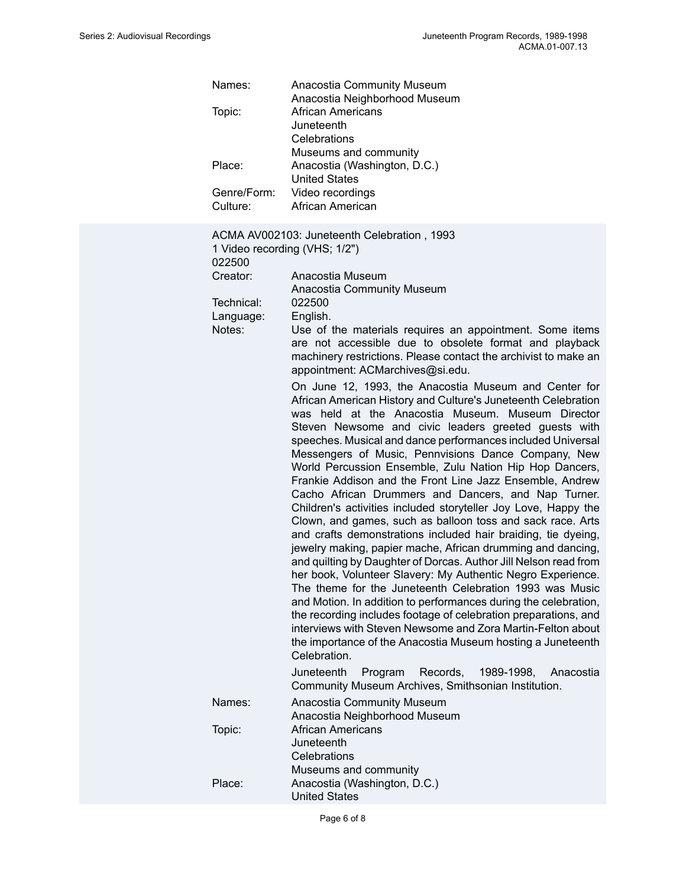| Names:<br>Topic:<br>Place:<br>Genre/Form:<br>Culture:                                    | Anacostia Community Museum<br>Anacostia Neighborhood Museum<br><b>African Americans</b><br>Juneteenth<br>Celebrations<br>Museums and community<br>Anacostia (Washington, D.C.)<br><b>United States</b><br>Video recordings<br>African American                                                                                                                                                                                                                                                                                                                                                                                                                                                                                                                                                                                                                                                                                                                                                                                                                                                                                                                                                                                                                                                                                                                                                                                                                                                                                                                                                                                                                                                                |
|------------------------------------------------------------------------------------------|---------------------------------------------------------------------------------------------------------------------------------------------------------------------------------------------------------------------------------------------------------------------------------------------------------------------------------------------------------------------------------------------------------------------------------------------------------------------------------------------------------------------------------------------------------------------------------------------------------------------------------------------------------------------------------------------------------------------------------------------------------------------------------------------------------------------------------------------------------------------------------------------------------------------------------------------------------------------------------------------------------------------------------------------------------------------------------------------------------------------------------------------------------------------------------------------------------------------------------------------------------------------------------------------------------------------------------------------------------------------------------------------------------------------------------------------------------------------------------------------------------------------------------------------------------------------------------------------------------------------------------------------------------------------------------------------------------------|
| 1 Video recording (VHS; 1/2")<br>022500<br>Creator:<br>Technical:<br>Language:<br>Notes: | ACMA AV002103: Juneteenth Celebration, 1993<br>Anacostia Museum<br>Anacostia Community Museum<br>022500<br>English.<br>Use of the materials requires an appointment. Some items<br>are not accessible due to obsolete format and playback<br>machinery restrictions. Please contact the archivist to make an<br>appointment: ACMarchives@si.edu.<br>On June 12, 1993, the Anacostia Museum and Center for<br>African American History and Culture's Juneteenth Celebration<br>was held at the Anacostia Museum. Museum Director<br>Steven Newsome and civic leaders greeted guests with<br>speeches. Musical and dance performances included Universal<br>Messengers of Music, Pennvisions Dance Company, New<br>World Percussion Ensemble, Zulu Nation Hip Hop Dancers,<br>Frankie Addison and the Front Line Jazz Ensemble, Andrew<br>Cacho African Drummers and Dancers, and Nap Turner.<br>Children's activities included storyteller Joy Love, Happy the<br>Clown, and games, such as balloon toss and sack race. Arts<br>and crafts demonstrations included hair braiding, tie dyeing,<br>jewelry making, papier mache, African drumming and dancing,<br>and quilting by Daughter of Dorcas. Author Jill Nelson read from<br>her book, Volunteer Slavery: My Authentic Negro Experience.<br>The theme for the Juneteenth Celebration 1993 was Music<br>and Motion. In addition to performances during the celebration,<br>the recording includes footage of celebration preparations, and<br>interviews with Steven Newsome and Zora Martin-Felton about<br>the importance of the Anacostia Museum hosting a Juneteenth<br>Celebration.<br>Juneteenth<br>Records,<br>1989-1998,<br>Program<br>Anacostia |
| Names:                                                                                   | Community Museum Archives, Smithsonian Institution.<br>Anacostia Community Museum                                                                                                                                                                                                                                                                                                                                                                                                                                                                                                                                                                                                                                                                                                                                                                                                                                                                                                                                                                                                                                                                                                                                                                                                                                                                                                                                                                                                                                                                                                                                                                                                                             |
| Topic:                                                                                   | Anacostia Neighborhood Museum<br><b>African Americans</b><br>Juneteenth<br>Celebrations<br>Museums and community                                                                                                                                                                                                                                                                                                                                                                                                                                                                                                                                                                                                                                                                                                                                                                                                                                                                                                                                                                                                                                                                                                                                                                                                                                                                                                                                                                                                                                                                                                                                                                                              |
| Place:                                                                                   | Anacostia (Washington, D.C.)<br><b>United States</b>                                                                                                                                                                                                                                                                                                                                                                                                                                                                                                                                                                                                                                                                                                                                                                                                                                                                                                                                                                                                                                                                                                                                                                                                                                                                                                                                                                                                                                                                                                                                                                                                                                                          |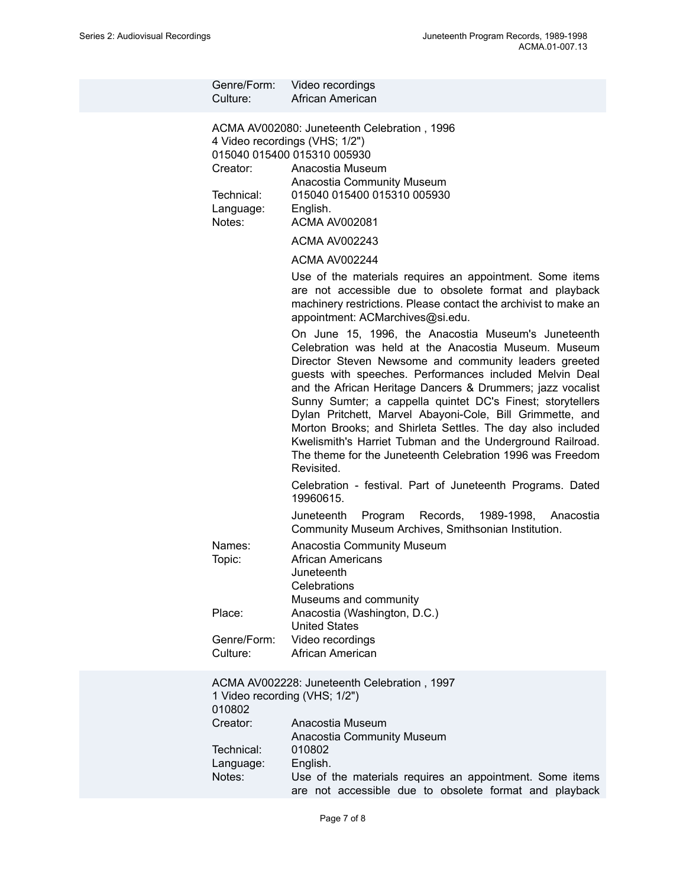| Genre/Form:<br>Culture:                             | Video recordings<br>African American                                                                                                                                                                                                                                                                                                                                                                                                                                                                                                                                                                                           |
|-----------------------------------------------------|--------------------------------------------------------------------------------------------------------------------------------------------------------------------------------------------------------------------------------------------------------------------------------------------------------------------------------------------------------------------------------------------------------------------------------------------------------------------------------------------------------------------------------------------------------------------------------------------------------------------------------|
| Creator:<br>Technical:<br>Language:<br>Notes:       | ACMA AV002080: Juneteenth Celebration, 1996<br>4 Video recordings (VHS; 1/2")<br>015040 015400 015310 005930<br>Anacostia Museum<br>Anacostia Community Museum<br>015040 015400 015310 005930<br>English.<br><b>ACMA AV002081</b>                                                                                                                                                                                                                                                                                                                                                                                              |
|                                                     | <b>ACMA AV002243</b>                                                                                                                                                                                                                                                                                                                                                                                                                                                                                                                                                                                                           |
|                                                     | <b>ACMA AV002244</b>                                                                                                                                                                                                                                                                                                                                                                                                                                                                                                                                                                                                           |
|                                                     | Use of the materials requires an appointment. Some items<br>are not accessible due to obsolete format and playback<br>machinery restrictions. Please contact the archivist to make an<br>appointment: ACMarchives@si.edu.                                                                                                                                                                                                                                                                                                                                                                                                      |
|                                                     | On June 15, 1996, the Anacostia Museum's Juneteenth<br>Celebration was held at the Anacostia Museum. Museum<br>Director Steven Newsome and community leaders greeted<br>guests with speeches. Performances included Melvin Deal<br>and the African Heritage Dancers & Drummers; jazz vocalist<br>Sunny Sumter; a cappella quintet DC's Finest; storytellers<br>Dylan Pritchett, Marvel Abayoni-Cole, Bill Grimmette, and<br>Morton Brooks; and Shirleta Settles. The day also included<br>Kwelismith's Harriet Tubman and the Underground Railroad.<br>The theme for the Juneteenth Celebration 1996 was Freedom<br>Revisited. |
|                                                     | Celebration - festival. Part of Juneteenth Programs. Dated<br>19960615.                                                                                                                                                                                                                                                                                                                                                                                                                                                                                                                                                        |
|                                                     | Juneteenth<br>Program<br>Records,<br>1989-1998,<br>Anacostia<br>Community Museum Archives, Smithsonian Institution.                                                                                                                                                                                                                                                                                                                                                                                                                                                                                                            |
| Names:<br>Topic:                                    | Anacostia Community Museum<br><b>African Americans</b><br>Juneteenth<br>Celebrations<br>Museums and community                                                                                                                                                                                                                                                                                                                                                                                                                                                                                                                  |
| Place:                                              | Anacostia (Washington, D.C.)                                                                                                                                                                                                                                                                                                                                                                                                                                                                                                                                                                                                   |
| Genre/Form:<br>Culture:                             | <b>United States</b><br>Video recordings<br>African American                                                                                                                                                                                                                                                                                                                                                                                                                                                                                                                                                                   |
| 1 Video recording (VHS; 1/2")<br>010802<br>Creator: | ACMA AV002228: Juneteenth Celebration, 1997<br>Anacostia Museum<br>Anacostia Community Museum                                                                                                                                                                                                                                                                                                                                                                                                                                                                                                                                  |
| Technical:<br>Language:                             | 010802<br>English.                                                                                                                                                                                                                                                                                                                                                                                                                                                                                                                                                                                                             |
| Notes:                                              | Use of the materials requires an appointment. Some items<br>are not accessible due to obsolete format and playback                                                                                                                                                                                                                                                                                                                                                                                                                                                                                                             |